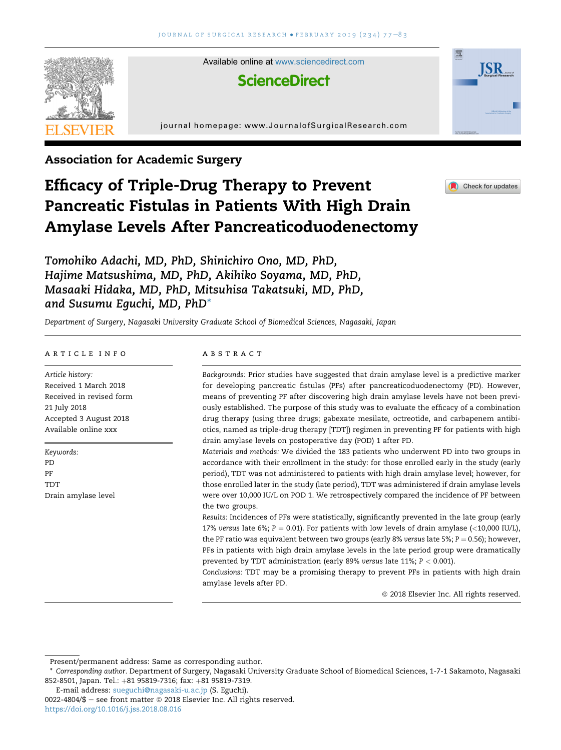

Available online at [www.sciencedirect.com](www.sciencedirect.com/science/journal/00224804) **ScienceDirect** 

journal homepage: [www.JournalofSurgicalResearch.com](http://www.JournalofSurgicalResearch.com)

Association for Academic Surgery

# Efficacy of Triple-Drug Therapy to Prevent Pancreatic Fistulas in Patients With High Drain Amylase Levels After Pancreaticoduodenectomy



**ISR** 

Tomohiko Adachi, MD, PhD, Shinichiro Ono, MD, PhD, Hajime Matsushima, MD, PhD, Akihiko Soyama, MD, PhD, Masaaki Hidaka, MD, PhD, Mitsuhisa Takatsuki, MD, PhD, and Susumu Eguchi, MD, PhD\*

Department of Surgery, Nagasaki University Graduate School of Biomedical Sciences, Nagasaki, Japan

#### article info

Article history: Received 1 March 2018 Received in revised form 21 July 2018 Accepted 3 August 2018 Available online xxx

Keywords: PD PF TDT Drain amylase level

#### A B S T R A C T

Backgrounds: Prior studies have suggested that drain amylase level is a predictive marker for developing pancreatic fistulas (PFs) after pancreaticoduodenectomy (PD). However, means of preventing PF after discovering high drain amylase levels have not been previously established. The purpose of this study was to evaluate the efficacy of a combination drug therapy (using three drugs; gabexate mesilate, octreotide, and carbapenem antibiotics, named as triple-drug therapy [TDT]) regimen in preventing PF for patients with high drain amylase levels on postoperative day (POD) 1 after PD.

Materials and methods: We divided the 183 patients who underwent PD into two groups in accordance with their enrollment in the study: for those enrolled early in the study (early period), TDT was not administered to patients with high drain amylase level; however, for those enrolled later in the study (late period), TDT was administered if drain amylase levels were over 10,000 IU/L on POD 1. We retrospectively compared the incidence of PF between the two groups.

Results: Incidences of PFs were statistically, significantly prevented in the late group (early 17% versus late 6%;  $P = 0.01$ ). For patients with low levels of drain amylase (<10,000 IU/L), the PF ratio was equivalent between two groups (early 8% versus late 5%;  $P = 0.56$ ); however, PFs in patients with high drain amylase levels in the late period group were dramatically prevented by TDT administration (early 89% versus late 11%; P < 0.001).

Conclusions: TDT may be a promising therapy to prevent PFs in patients with high drain amylase levels after PD.

ª 2018 Elsevier Inc. All rights reserved.

Present/permanent address: Same as corresponding author.

E-mail address: [sueguchi@nagasaki-u.ac.jp](mailto:sueguchi@nagasaki-u.ac.jp) (S. Eguchi).

<sup>\*</sup> Corresponding author. Department of Surgery, Nagasaki University Graduate School of Biomedical Sciences, 1-7-1 Sakamoto, Nagasaki 852-8501, Japan. Tel.: +81 95819-7316; fax: +81 95819-7319.

<sup>0022-4804/\$ -</sup> see front matter  $\odot$  2018 Elsevier Inc. All rights reserved. <https://doi.org/10.1016/j.jss.2018.08.016>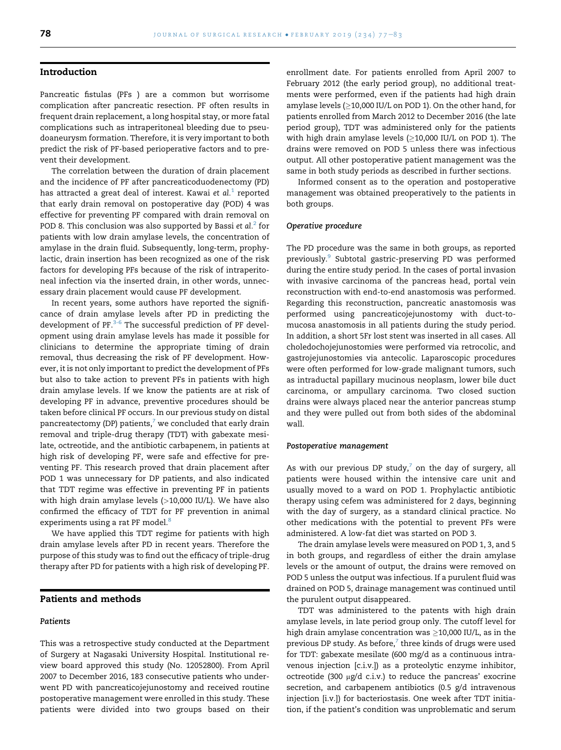## Introduction

Pancreatic fistulas (PFs ) are a common but worrisome complication after pancreatic resection. PF often results in frequent drain replacement, a long hospital stay, or more fatal complications such as intraperitoneal bleeding due to pseudoaneurysm formation. Therefore, it is very important to both predict the risk of PF-based perioperative factors and to prevent their development.

The correlation between the duration of drain placement and the incidence of PF after pancreaticoduodenectomy (PD) has attracted a great deal of interest. Kawai et  $al.1$  $al.1$  reported that early drain removal on postoperative day (POD) 4 was effective for preventing PF compared with drain removal on POD 8. This conclusion was also supported by Bassi et al.<sup>[2](#page-5-0)</sup> for patients with low drain amylase levels, the concentration of amylase in the drain fluid. Subsequently, long-term, prophylactic, drain insertion has been recognized as one of the risk factors for developing PFs because of the risk of intraperitoneal infection via the inserted drain, in other words, unnecessary drain placement would cause PF development.

In recent years, some authors have reported the significance of drain amylase levels after PD in predicting the development of PF.<sup>[3-6](#page-5-0)</sup> The successful prediction of PF development using drain amylase levels has made it possible for clinicians to determine the appropriate timing of drain removal, thus decreasing the risk of PF development. However, it is not only important to predict the development of PFs but also to take action to prevent PFs in patients with high drain amylase levels. If we know the patients are at risk of developing PF in advance, preventive procedures should be taken before clinical PF occurs. In our previous study on distal pancreatectomy (DP) patients,<sup>[7](#page-5-0)</sup> we concluded that early drain removal and triple-drug therapy (TDT) with gabexate mesilate, octreotide, and the antibiotic carbapenem, in patients at high risk of developing PF, were safe and effective for preventing PF. This research proved that drain placement after POD 1 was unnecessary for DP patients, and also indicated that TDT regime was effective in preventing PF in patients with high drain amylase levels (>10,000 IU/L). We have also confirmed the efficacy of TDT for PF prevention in animal experiments using a rat PF model.<sup>8</sup>

We have applied this TDT regime for patients with high drain amylase levels after PD in recent years. Therefore the purpose of this study was to find out the efficacy of triple-drug therapy after PD for patients with a high risk of developing PF.

# Patients and methods

## Patients

This was a retrospective study conducted at the Department of Surgery at Nagasaki University Hospital. Institutional review board approved this study (No. 12052800). From April 2007 to December 2016, 183 consecutive patients who underwent PD with pancreaticojejunostomy and received routine postoperative management were enrolled in this study. These patients were divided into two groups based on their enrollment date. For patients enrolled from April 2007 to February 2012 (the early period group), no additional treatments were performed, even if the patients had high drain amylase levels  $(≥10,000$  IU/L on POD 1). On the other hand, for patients enrolled from March 2012 to December 2016 (the late period group), TDT was administered only for the patients with high drain amylase levels  $(≥10,000$  IU/L on POD 1). The drains were removed on POD 5 unless there was infectious output. All other postoperative patient management was the same in both study periods as described in further sections.

Informed consent as to the operation and postoperative management was obtained preoperatively to the patients in both groups.

#### Operative procedure

The PD procedure was the same in both groups, as reported previously.[9](#page-5-0) Subtotal gastric-preserving PD was performed during the entire study period. In the cases of portal invasion with invasive carcinoma of the pancreas head, portal vein reconstruction with end-to-end anastomosis was performed. Regarding this reconstruction, pancreatic anastomosis was performed using pancreaticojejunostomy with duct-tomucosa anastomosis in all patients during the study period. In addition, a short 5Fr lost stent was inserted in all cases. All choledochojejunostomies were performed via retrocolic, and gastrojejunostomies via antecolic. Laparoscopic procedures were often performed for low-grade malignant tumors, such as intraductal papillary mucinous neoplasm, lower bile duct carcinoma, or ampullary carcinoma. Two closed suction drains were always placed near the anterior pancreas stump and they were pulled out from both sides of the abdominal wall.

#### Postoperative management

As with our previous DP study, $^7$  $^7$  on the day of surgery, all patients were housed within the intensive care unit and usually moved to a ward on POD 1. Prophylactic antibiotic therapy using cefem was administered for 2 days, beginning with the day of surgery, as a standard clinical practice. No other medications with the potential to prevent PFs were administered. A low-fat diet was started on POD 3.

The drain amylase levels were measured on POD 1, 3, and 5 in both groups, and regardless of either the drain amylase levels or the amount of output, the drains were removed on POD 5 unless the output was infectious. If a purulent fluid was drained on POD 5, drainage management was continued until the purulent output disappeared.

TDT was administered to the patents with high drain amylase levels, in late period group only. The cutoff level for high drain amylase concentration was  $\geq$ 10,000 IU/L, as in the previous DP study. As before, $7$  three kinds of drugs were used for TDT: gabexate mesilate (600 mg/d as a continuous intravenous injection [c.i.v.]) as a proteolytic enzyme inhibitor, octreotide (300 mg/d c.i.v.) to reduce the pancreas' exocrine secretion, and carbapenem antibiotics (0.5 g/d intravenous injection [i.v.]) for bacteriostasis. One week after TDT initiation, if the patient's condition was unproblematic and serum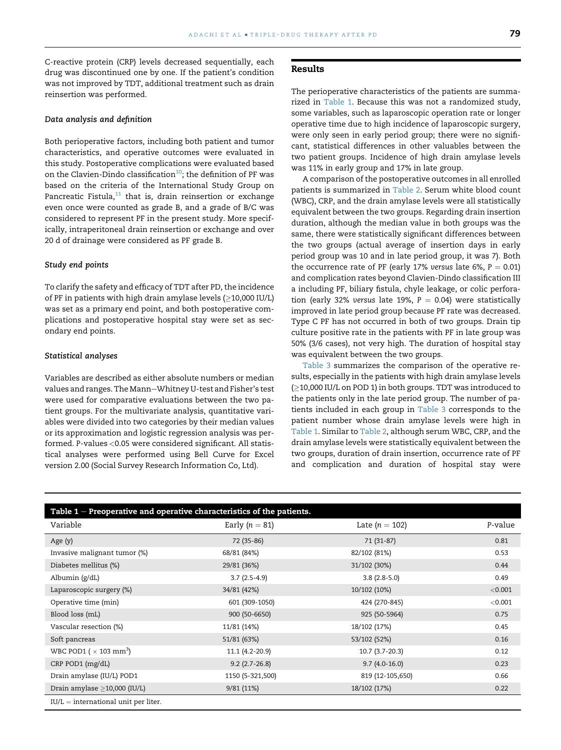C-reactive protein (CRP) levels decreased sequentially, each drug was discontinued one by one. If the patient's condition was not improved by TDT, additional treatment such as drain reinsertion was performed.

#### Data analysis and definition

Both perioperative factors, including both patient and tumor characteristics, and operative outcomes were evaluated in this study. Postoperative complications were evaluated based on the Clavien-Dindo classification<sup>10</sup>; the definition of PF was based on the criteria of the International Study Group on Pancreatic Fistula, $11$  that is, drain reinsertion or exchange even once were counted as grade B, and a grade of B/C was considered to represent PF in the present study. More specifically, intraperitoneal drain reinsertion or exchange and over 20 d of drainage were considered as PF grade B.

#### Study end points

To clarify the safety and efficacy of TDT after PD, the incidence of PF in patients with high drain amylase levels  $(≥10,000$  IU/L) was set as a primary end point, and both postoperative complications and postoperative hospital stay were set as secondary end points.

## Statistical analyses

Variables are described as either absolute numbers or median values and ranges. The Mann-Whitney U-test and Fisher's test were used for comparative evaluations between the two patient groups. For the multivariate analysis, quantitative variables were divided into two categories by their median values or its approximation and logistic regression analysis was performed. P-values <0.05 were considered significant. All statistical analyses were performed using Bell Curve for Excel version 2.00 (Social Survey Research Information Co, Ltd).

## Results

The perioperative characteristics of the patients are summarized in Table 1. Because this was not a randomized study, some variables, such as laparoscopic operation rate or longer operative time due to high incidence of laparoscopic surgery, were only seen in early period group; there were no significant, statistical differences in other valuables between the two patient groups. Incidence of high drain amylase levels was 11% in early group and 17% in late group.

A comparison of the postoperative outcomes in all enrolled patients is summarized in [Table 2](#page-3-0). Serum white blood count (WBC), CRP, and the drain amylase levels were all statistically equivalent between the two groups. Regarding drain insertion duration, although the median value in both groups was the same, there were statistically significant differences between the two groups (actual average of insertion days in early period group was 10 and in late period group, it was 7). Both the occurrence rate of PF (early 17% versus late 6%,  $P = 0.01$ ) and complication rates beyond Clavien-Dindo classification III a including PF, biliary fistula, chyle leakage, or colic perforation (early 32% versus late 19%,  $P = 0.04$ ) were statistically improved in late period group because PF rate was decreased. Type C PF has not occurred in both of two groups. Drain tip culture positive rate in the patients with PF in late group was 50% (3/6 cases), not very high. The duration of hospital stay was equivalent between the two groups.

[Table 3](#page-3-0) summarizes the comparison of the operative results, especially in the patients with high drain amylase levels  $(≥10,000$  IU/L on POD 1) in both groups. TDT was introduced to the patients only in the late period group. The number of patients included in each group in [Table 3](#page-3-0) corresponds to the patient number whose drain amylase levels were high in Table 1. Similar to [Table 2](#page-3-0), although serum WBC, CRP, and the drain amylase levels were statistically equivalent between the two groups, duration of drain insertion, occurrence rate of PF and complication and duration of hospital stay were

| Table $1$ – Preoperative and operative characteristics of the patients. |                   |                  |         |  |  |
|-------------------------------------------------------------------------|-------------------|------------------|---------|--|--|
| Variable                                                                | Early $(n = 81)$  | Late $(n = 102)$ | P-value |  |  |
| Age $(y)$                                                               | 72 (35-86)        | 71 (31-87)       | 0.81    |  |  |
| Invasive malignant tumor (%)                                            | 68/81 (84%)       | 82/102 (81%)     | 0.53    |  |  |
| Diabetes mellitus (%)                                                   | 29/81 (36%)       | 31/102 (30%)     | 0.44    |  |  |
| Albumin $(g/dL)$                                                        | $3.7(2.5-4.9)$    | $3.8(2.8-5.0)$   | 0.49    |  |  |
| Laparoscopic surgery (%)                                                | 34/81 (42%)       | 10/102 (10%)     | < 0.001 |  |  |
| Operative time (min)                                                    | 601 (309-1050)    | 424 (270-845)    | < 0.001 |  |  |
| Blood loss (mL)                                                         | 900 (50-6650)     | 925 (50-5964)    | 0.75    |  |  |
| Vascular resection (%)                                                  | 11/81 (14%)       | 18/102 (17%)     | 0.45    |  |  |
| Soft pancreas                                                           | 51/81 (63%)       | 53/102 (52%)     | 0.16    |  |  |
| WBC POD1 ( $\times$ 103 mm <sup>3</sup> )                               | 11.1 (4.2-20.9)   | $10.7(3.7-20.3)$ | 0.12    |  |  |
| CRP POD1 (mg/dL)                                                        | $9.2(2.7 - 26.8)$ | $9.7(4.0-16.0)$  | 0.23    |  |  |
| Drain amylase (IU/L) POD1                                               | 1150 (5-321,500)  | 819 (12-105,650) | 0.66    |  |  |
| Drain amylase $\geq$ 10,000 (IU/L)                                      | 9/81(11%)         | 18/102 (17%)     | 0.22    |  |  |
| $IU/L =$ international unit per liter.                                  |                   |                  |         |  |  |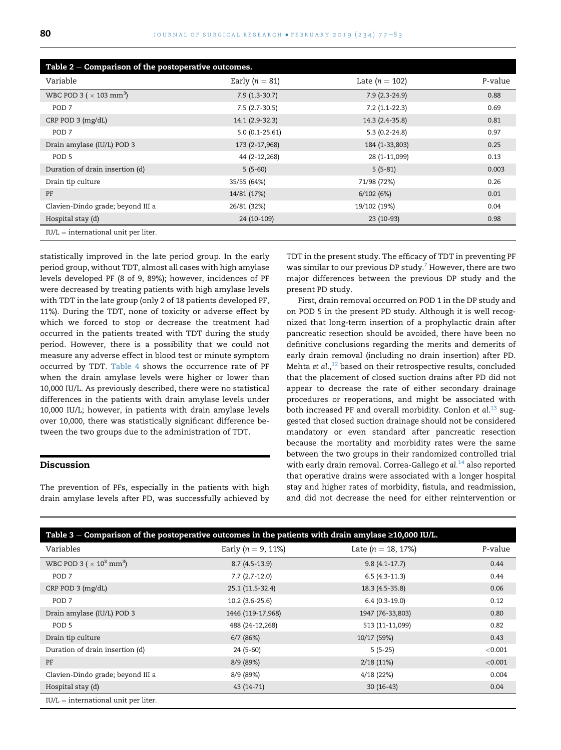<span id="page-3-0"></span>

| Table $2$ – Comparison of the postoperative outcomes. |                    |                  |         |  |
|-------------------------------------------------------|--------------------|------------------|---------|--|
| Variable                                              | Early ( $n = 81$ ) | Late $(n = 102)$ | P-value |  |
| WBC POD 3 ( $\times$ 103 mm <sup>3</sup> )            | $7.9(1.3-30.7)$    | $7.9(2.3-24.9)$  | 0.88    |  |
| POD <sub>7</sub>                                      | $7.5(2.7-30.5)$    | $7.2(1.1-22.3)$  | 0.69    |  |
| CRP POD 3 (mg/dL)                                     | 14.1 (2.9-32.3)    | 14.3 (2.4-35.8)  | 0.81    |  |
| POD <sub>7</sub>                                      | $5.0(0.1-25.61)$   | $5.3(0.2-24.8)$  | 0.97    |  |
| Drain amylase (IU/L) POD 3                            | 173 (2-17,968)     | 184 (1-33,803)   | 0.25    |  |
| POD <sub>5</sub>                                      | 44 (2-12,268)      | 28 (1-11,099)    | 0.13    |  |
| Duration of drain insertion (d)                       | $5(5-60)$          | $5(5-81)$        | 0.003   |  |
| Drain tip culture                                     | 35/55 (64%)        | 71/98 (72%)      | 0.26    |  |
| PF                                                    | 14/81 (17%)        | 6/102(6%)        | 0.01    |  |
| Clavien-Dindo grade; beyond III a                     | 26/81 (32%)        | 19/102 (19%)     | 0.04    |  |
| Hospital stay (d)                                     | 24 (10-109)        | 23 (10-93)       | 0.98    |  |
| $IU/L =$ international unit per liter.                |                    |                  |         |  |

statistically improved in the late period group. In the early period group, without TDT, almost all cases with high amylase levels developed PF (8 of 9, 89%); however, incidences of PF were decreased by treating patients with high amylase levels with TDT in the late group (only 2 of 18 patients developed PF, 11%). During the TDT, none of toxicity or adverse effect by which we forced to stop or decrease the treatment had occurred in the patients treated with TDT during the study period. However, there is a possibility that we could not measure any adverse effect in blood test or minute symptom occurred by TDT. [Table 4](#page-4-0) shows the occurrence rate of PF when the drain amylase levels were higher or lower than 10,000 IU/L. As previously described, there were no statistical differences in the patients with drain amylase levels under 10,000 IU/L; however, in patients with drain amylase levels over 10,000, there was statistically significant difference between the two groups due to the administration of TDT.

## Discussion

The prevention of PFs, especially in the patients with high drain amylase levels after PD, was successfully achieved by TDT in the present study. The efficacy of TDT in preventing PF was similar to our previous DP study.<sup>7</sup> However, there are two major differences between the previous DP study and the present PD study.

First, drain removal occurred on POD 1 in the DP study and on POD 5 in the present PD study. Although it is well recognized that long-term insertion of a prophylactic drain after pancreatic resection should be avoided, there have been no definitive conclusions regarding the merits and demerits of early drain removal (including no drain insertion) after PD. Mehta et  $al$ ,  $12$  based on their retrospective results, concluded that the placement of closed suction drains after PD did not appear to decrease the rate of either secondary drainage procedures or reoperations, and might be associated with both increased PF and overall morbidity. Conlon et  $al.^{13}$  $al.^{13}$  $al.^{13}$  suggested that closed suction drainage should not be considered mandatory or even standard after pancreatic resection because the mortality and morbidity rates were the same between the two groups in their randomized controlled trial with early drain removal. Correa-Gallego et al.<sup>[14](#page-5-0)</sup> also reported that operative drains were associated with a longer hospital stay and higher rates of morbidity, fistula, and readmission, and did not decrease the need for either reintervention or

| Table 3 - Comparison of the postoperative outcomes in the patients with drain amylase $\geq$ 10,000 IU/L. |                         |                       |         |  |
|-----------------------------------------------------------------------------------------------------------|-------------------------|-----------------------|---------|--|
| Variables                                                                                                 | Early ( $n = 9, 11\%$ ) | Late $(n = 18, 17\%)$ | P-value |  |
| WBC POD 3 ( $\times$ 10 <sup>3</sup> mm <sup>3</sup> )                                                    | $8.7(4.5-13.9)$         | $9.8(4.1-17.7)$       | 0.44    |  |
| POD <sub>7</sub>                                                                                          | $7.7(2.7-12.0)$         | $6.5(4.3-11.3)$       | 0.44    |  |
| CRP POD 3 (mg/dL)                                                                                         | 25.1 (11.5-32.4)        | 18.3 (4.5-35.8)       | 0.06    |  |
| POD <sub>7</sub>                                                                                          | $10.2$ (3.6-25.6)       | $6.4(0.3-19.0)$       | 0.12    |  |
| Drain amylase (IU/L) POD 3                                                                                | 1446 (119-17,968)       | 1947 (76-33,803)      | 0.80    |  |
| POD <sub>5</sub>                                                                                          | 488 (24-12,268)         | 513 (11-11,099)       | 0.82    |  |
| Drain tip culture                                                                                         | $6/7$ (86%)             | 10/17 (59%)           | 0.43    |  |
| Duration of drain insertion (d)                                                                           | $24(5-60)$              | $5(5-25)$             | < 0.001 |  |
| PF                                                                                                        | 8/9 (89%)               | 2/18(11%)             | < 0.001 |  |
| Clavien-Dindo grade; beyond III a                                                                         | 8/9 (89%)               | 4/18(22%)             | 0.004   |  |
| Hospital stay (d)                                                                                         | 43 (14-71)              | $30(16-43)$           | 0.04    |  |
| $IU/L =$ international unit per liter.                                                                    |                         |                       |         |  |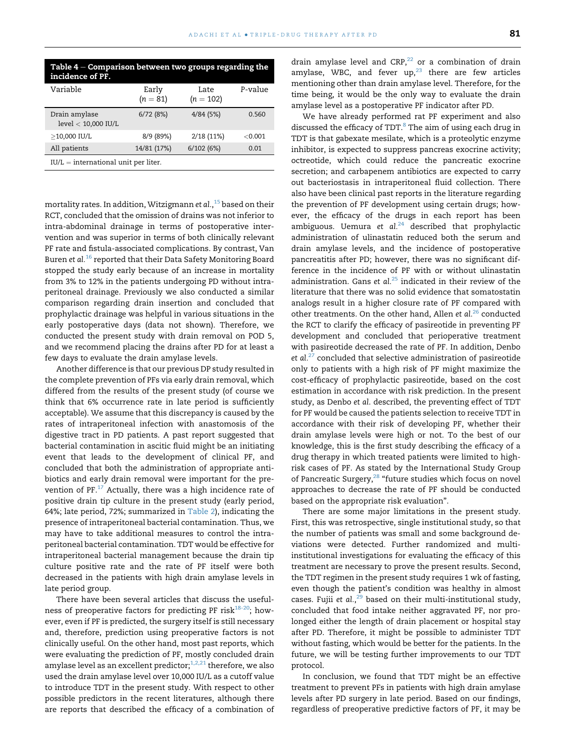<span id="page-4-0"></span>

| Table 4 - Comparison between two groups regarding the<br>incidence of PF. |                     |                     |         |  |  |
|---------------------------------------------------------------------------|---------------------|---------------------|---------|--|--|
| Variable                                                                  | Early<br>$(n = 81)$ | Late<br>$(n = 102)$ | P-value |  |  |
| Drain amylase<br>$level < 10,000$ IU/L                                    | 6/72(8%)            | 4/84(5%)            | 0.560   |  |  |
| $>10,000$ IU/L                                                            | 8/9 (89%)           | 2/18 (11%)          | < 0.001 |  |  |
| All patients                                                              | 14/81 (17%)         | 6/102(6%)           | 0.01    |  |  |
| $IU/L =$ international unit per liter.                                    |                     |                     |         |  |  |

mortality rates. In addition, Witzigmann et al., [15](#page-5-0) based on their RCT, concluded that the omission of drains was not inferior to intra-abdominal drainage in terms of postoperative intervention and was superior in terms of both clinically relevant PF rate and fistula-associated complications. By contrast, Van Buren et al.<sup>[16](#page-5-0)</sup> reported that their Data Safety Monitoring Board stopped the study early because of an increase in mortality from 3% to 12% in the patients undergoing PD without intraperitoneal drainage. Previously we also conducted a similar comparison regarding drain insertion and concluded that prophylactic drainage was helpful in various situations in the early postoperative days (data not shown). Therefore, we conducted the present study with drain removal on POD 5, and we recommend placing the drains after PD for at least a few days to evaluate the drain amylase levels.

Another difference is that our previous DP study resulted in the complete prevention of PFs via early drain removal, which differed from the results of the present study (of course we think that 6% occurrence rate in late period is sufficiently acceptable). We assume that this discrepancy is caused by the rates of intraperitoneal infection with anastomosis of the digestive tract in PD patients. A past report suggested that bacterial contamination in ascitic fluid might be an initiating event that leads to the development of clinical PF, and concluded that both the administration of appropriate antibiotics and early drain removal were important for the prevention of  $PF.^{17}$  $PF.^{17}$  $PF.^{17}$  Actually, there was a high incidence rate of positive drain tip culture in the present study (early period, 64%; late period, 72%; summarized in [Table 2](#page-3-0)), indicating the presence of intraperitoneal bacterial contamination. Thus, we may have to take additional measures to control the intraperitoneal bacterial contamination. TDT would be effective for intraperitoneal bacterial management because the drain tip culture positive rate and the rate of PF itself were both decreased in the patients with high drain amylase levels in late period group.

There have been several articles that discuss the useful-ness of preoperative factors for predicting PF risk<sup>[18-20](#page-5-0)</sup>; however, even if PF is predicted, the surgery itself is still necessary and, therefore, prediction using preoperative factors is not clinically useful. On the other hand, most past reports, which were evaluating the prediction of PF, mostly concluded drain amylase level as an excellent predictor; $1,2,21$  therefore, we also used the drain amylase level over 10,000 IU/L as a cutoff value to introduce TDT in the present study. With respect to other possible predictors in the recent literatures, although there are reports that described the efficacy of a combination of drain amylase level and  $CRP<sub>1</sub><sup>22</sup>$  $CRP<sub>1</sub><sup>22</sup>$  $CRP<sub>1</sub><sup>22</sup>$  or a combination of drain amylase, WBC, and fever  $up^{23}$  $up^{23}$  $up^{23}$  there are few articles mentioning other than drain amylase level. Therefore, for the time being, it would be the only way to evaluate the drain amylase level as a postoperative PF indicator after PD.

We have already performed rat PF experiment and also discussed the efficacy of  $TDT$ .<sup>8</sup> The aim of using each drug in TDT is that gabexate mesilate, which is a proteolytic enzyme inhibitor, is expected to suppress pancreas exocrine activity; octreotide, which could reduce the pancreatic exocrine secretion; and carbapenem antibiotics are expected to carry out bacteriostasis in intraperitoneal fluid collection. There also have been clinical past reports in the literature regarding the prevention of PF development using certain drugs; however, the efficacy of the drugs in each report has been ambiguous. Uemura et  $al^{24}$  $al^{24}$  $al^{24}$  described that prophylactic administration of ulinastatin reduced both the serum and drain amylase levels, and the incidence of postoperative pancreatitis after PD; however, there was no significant difference in the incidence of PF with or without ulinastatin administration. Gans et al.  $25$  indicated in their review of the literature that there was no solid evidence that somatostatin analogs result in a higher closure rate of PF compared with other treatments. On the other hand, Allen et  $al.^{26}$  $al.^{26}$  $al.^{26}$  conducted the RCT to clarify the efficacy of pasireotide in preventing PF development and concluded that perioperative treatment with pasireotide decreased the rate of PF. In addition, Denbo et  $al.^{27}$  $al.^{27}$  $al.^{27}$  concluded that selective administration of pasireotide only to patients with a high risk of PF might maximize the cost-efficacy of prophylactic pasireotide, based on the cost estimation in accordance with risk prediction. In the present study, as Denbo et al. described, the preventing effect of TDT for PF would be caused the patients selection to receive TDT in accordance with their risk of developing PF, whether their drain amylase levels were high or not. To the best of our knowledge, this is the first study describing the efficacy of a drug therapy in which treated patients were limited to highrisk cases of PF. As stated by the International Study Group of Pancreatic Surgery,<sup>28</sup> "future studies which focus on novel approaches to decrease the rate of PF should be conducted based on the appropriate risk evaluation".

There are some major limitations in the present study. First, this was retrospective, single institutional study, so that the number of patients was small and some background deviations were detected. Further randomized and multiinstitutional investigations for evaluating the efficacy of this treatment are necessary to prove the present results. Second, the TDT regimen in the present study requires 1 wk of fasting, even though the patient's condition was healthy in almost cases. Fujii et al., $^{29}$  $^{29}$  $^{29}$  based on their multi-institutional study, concluded that food intake neither aggravated PF, nor prolonged either the length of drain placement or hospital stay after PD. Therefore, it might be possible to administer TDT without fasting, which would be better for the patients. In the future, we will be testing further improvements to our TDT protocol.

In conclusion, we found that TDT might be an effective treatment to prevent PFs in patients with high drain amylase levels after PD surgery in late period. Based on our findings, regardless of preoperative predictive factors of PF, it may be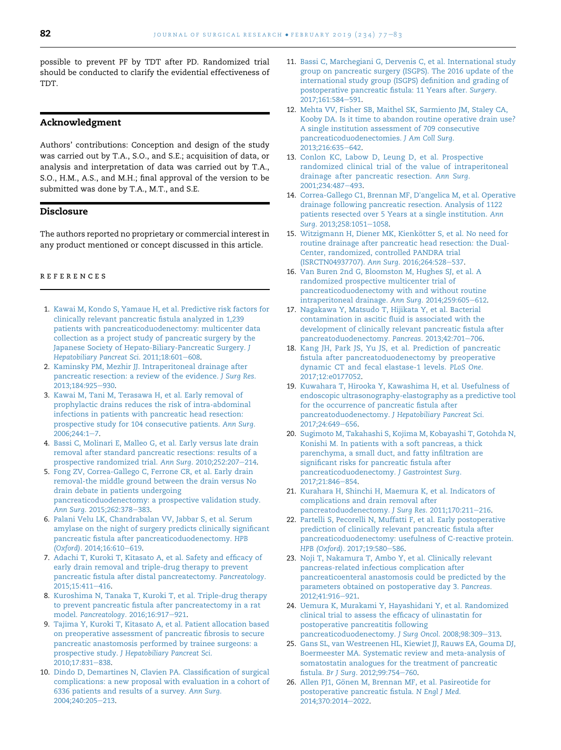<span id="page-5-0"></span>possible to prevent PF by TDT after PD. Randomized trial should be conducted to clarify the evidential effectiveness of TDT.

# Acknowledgment

Authors' contributions: Conception and design of the study was carried out by T.A., S.O., and S.E.; acquisition of data, or analysis and interpretation of data was carried out by T.A., S.O., H.M., A.S., and M.H.; final approval of the version to be submitted was done by T.A., M.T., and S.E.

# Disclosure

The authors reported no proprietary or commercial interest in any product mentioned or concept discussed in this article.

## references

- 1. [Kawai M, Kondo S, Yamaue H, et al. Predictive risk factors for](http://refhub.elsevier.com/S0022-4804(18)30581-X/sref1) [clinically relevant pancreatic fistula analyzed in 1,239](http://refhub.elsevier.com/S0022-4804(18)30581-X/sref1) [patients with pancreaticoduodenectomy: multicenter data](http://refhub.elsevier.com/S0022-4804(18)30581-X/sref1) [collection as a project study of pancreatic surgery by the](http://refhub.elsevier.com/S0022-4804(18)30581-X/sref1) [Japanese Society of Hepato-Biliary-Pancreatic Surgery.](http://refhub.elsevier.com/S0022-4804(18)30581-X/sref1) J [Hepatobiliary Pancreat Sci](http://refhub.elsevier.com/S0022-4804(18)30581-X/sref1). 2011;18:601-[608.](http://refhub.elsevier.com/S0022-4804(18)30581-X/sref1)
- 2. [Kaminsky PM, Mezhir JJ. Intraperitoneal drainage after](http://refhub.elsevier.com/S0022-4804(18)30581-X/sref2) [pancreatic resection: a review of the evidence.](http://refhub.elsevier.com/S0022-4804(18)30581-X/sref2) J Surg Res. [2013;184:925](http://refhub.elsevier.com/S0022-4804(18)30581-X/sref2)-[930.](http://refhub.elsevier.com/S0022-4804(18)30581-X/sref2)
- 3. [Kawai M, Tani M, Terasawa H, et al. Early removal of](http://refhub.elsevier.com/S0022-4804(18)30581-X/sref3) [prophylactic drains reduces the risk of intra-abdominal](http://refhub.elsevier.com/S0022-4804(18)30581-X/sref3) [infections in patients with pancreatic head resection:](http://refhub.elsevier.com/S0022-4804(18)30581-X/sref3) [prospective study for 104 consecutive patients.](http://refhub.elsevier.com/S0022-4804(18)30581-X/sref3) Ann Surg.  $2006:244:1 - 7.$  $2006:244:1 - 7.$  $2006:244:1 - 7.$
- 4. [Bassi C, Molinari E, Malleo G, et al. Early versus late drain](http://refhub.elsevier.com/S0022-4804(18)30581-X/sref4) [removal after standard pancreatic resections: results of a](http://refhub.elsevier.com/S0022-4804(18)30581-X/sref4) [prospective randomized trial.](http://refhub.elsevier.com/S0022-4804(18)30581-X/sref4) Ann Surg. 2010;252:207-[214.](http://refhub.elsevier.com/S0022-4804(18)30581-X/sref4)
- 5. [Fong ZV, Correa-Gallego C, Ferrone CR, et al. Early drain](http://refhub.elsevier.com/S0022-4804(18)30581-X/sref5) [removal-the middle ground between the drain versus No](http://refhub.elsevier.com/S0022-4804(18)30581-X/sref5) [drain debate in patients undergoing](http://refhub.elsevier.com/S0022-4804(18)30581-X/sref5) [pancreaticoduodenectomy: a prospective validation study.](http://refhub.elsevier.com/S0022-4804(18)30581-X/sref5) Ann Surg[. 2015;262:378](http://refhub.elsevier.com/S0022-4804(18)30581-X/sref5)-[383](http://refhub.elsevier.com/S0022-4804(18)30581-X/sref5).
- 6. [Palani Velu LK, Chandrabalan VV, Jabbar S, et al. Serum](http://refhub.elsevier.com/S0022-4804(18)30581-X/sref6) [amylase on the night of surgery predicts clinically significant](http://refhub.elsevier.com/S0022-4804(18)30581-X/sref6) [pancreatic fistula after pancreaticoduodenectomy.](http://refhub.elsevier.com/S0022-4804(18)30581-X/sref6) HPB (Oxford)[. 2014;16:610](http://refhub.elsevier.com/S0022-4804(18)30581-X/sref6)-[619.](http://refhub.elsevier.com/S0022-4804(18)30581-X/sref6)
- 7. [Adachi T, Kuroki T, Kitasato A, et al. Safety and efficacy of](http://refhub.elsevier.com/S0022-4804(18)30581-X/sref7) [early drain removal and triple-drug therapy to prevent](http://refhub.elsevier.com/S0022-4804(18)30581-X/sref7) [pancreatic fistula after distal pancreatectomy.](http://refhub.elsevier.com/S0022-4804(18)30581-X/sref7) Pancreatology. [2015;15:411](http://refhub.elsevier.com/S0022-4804(18)30581-X/sref7)-[416](http://refhub.elsevier.com/S0022-4804(18)30581-X/sref7).
- 8. [Kuroshima N, Tanaka T, Kuroki T, et al. Triple-drug therapy](http://refhub.elsevier.com/S0022-4804(18)30581-X/sref8) [to prevent pancreatic fistula after pancreatectomy in a rat](http://refhub.elsevier.com/S0022-4804(18)30581-X/sref8) model. [Pancreatology](http://refhub.elsevier.com/S0022-4804(18)30581-X/sref8). 2016;16:917-[921](http://refhub.elsevier.com/S0022-4804(18)30581-X/sref8).
- 9. [Tajima Y, Kuroki T, Kitasato A, et al. Patient allocation based](http://refhub.elsevier.com/S0022-4804(18)30581-X/sref9) [on preoperative assessment of pancreatic fibrosis to secure](http://refhub.elsevier.com/S0022-4804(18)30581-X/sref9) [pancreatic anastomosis performed by trainee surgeons: a](http://refhub.elsevier.com/S0022-4804(18)30581-X/sref9) prospective study. [J Hepatobiliary Pancreat Sci](http://refhub.elsevier.com/S0022-4804(18)30581-X/sref9). [2010;17:831](http://refhub.elsevier.com/S0022-4804(18)30581-X/sref9)-[838](http://refhub.elsevier.com/S0022-4804(18)30581-X/sref9).
- 10. [Dindo D, Demartines N, Clavien PA. Classification of surgical](http://refhub.elsevier.com/S0022-4804(18)30581-X/sref10) [complications: a new proposal with evaluation in a cohort of](http://refhub.elsevier.com/S0022-4804(18)30581-X/sref10) [6336 patients and results of a survey.](http://refhub.elsevier.com/S0022-4804(18)30581-X/sref10) Ann Surg. [2004;240:205](http://refhub.elsevier.com/S0022-4804(18)30581-X/sref10)-[213.](http://refhub.elsevier.com/S0022-4804(18)30581-X/sref10)
- 11. [Bassi C, Marchegiani G, Dervenis C, et al. International study](http://refhub.elsevier.com/S0022-4804(18)30581-X/sref11) [group on pancreatic surgery \(ISGPS\). The 2016 update of the](http://refhub.elsevier.com/S0022-4804(18)30581-X/sref11) [international study group \(ISGPS\) definition and grading of](http://refhub.elsevier.com/S0022-4804(18)30581-X/sref11) [postoperative pancreatic fistula: 11 Years after.](http://refhub.elsevier.com/S0022-4804(18)30581-X/sref11) Surgery. [2017;161:584](http://refhub.elsevier.com/S0022-4804(18)30581-X/sref11)-[591.](http://refhub.elsevier.com/S0022-4804(18)30581-X/sref11)
- 12. [Mehta VV, Fisher SB, Maithel SK, Sarmiento JM, Staley CA,](http://refhub.elsevier.com/S0022-4804(18)30581-X/sref12) [Kooby DA. Is it time to abandon routine operative drain use?](http://refhub.elsevier.com/S0022-4804(18)30581-X/sref12) [A single institution assessment of 709 consecutive](http://refhub.elsevier.com/S0022-4804(18)30581-X/sref12) [pancreaticoduodenectomies.](http://refhub.elsevier.com/S0022-4804(18)30581-X/sref12) J Am Coll Surg. [2013;216:635](http://refhub.elsevier.com/S0022-4804(18)30581-X/sref12)-[642.](http://refhub.elsevier.com/S0022-4804(18)30581-X/sref12)
- 13. [Conlon KC, Labow D, Leung D, et al. Prospective](http://refhub.elsevier.com/S0022-4804(18)30581-X/sref13) [randomized clinical trial of the value of intraperitoneal](http://refhub.elsevier.com/S0022-4804(18)30581-X/sref13) [drainage after pancreatic resection.](http://refhub.elsevier.com/S0022-4804(18)30581-X/sref13) Ann Surg. [2001;234:487](http://refhub.elsevier.com/S0022-4804(18)30581-X/sref13)-[493.](http://refhub.elsevier.com/S0022-4804(18)30581-X/sref13)
- 14. [Correa-Gallego C1, Brennan MF, D](http://refhub.elsevier.com/S0022-4804(18)30581-X/sref14)'angelica M, et al. Operative [drainage following pancreatic resection. Analysis of 1122](http://refhub.elsevier.com/S0022-4804(18)30581-X/sref14) [patients resected over 5 Years at a single institution.](http://refhub.elsevier.com/S0022-4804(18)30581-X/sref14) Ann Surg[. 2013;258:1051](http://refhub.elsevier.com/S0022-4804(18)30581-X/sref14)-[1058](http://refhub.elsevier.com/S0022-4804(18)30581-X/sref14).
- 15. Witzigmann H, Diener MK, Kienkötter S, et al. No need for [routine drainage after pancreatic head resection: the Dual-](http://refhub.elsevier.com/S0022-4804(18)30581-X/sref15)[Center, randomized, controlled PANDRA trial](http://refhub.elsevier.com/S0022-4804(18)30581-X/sref15) [\(ISRCTN04937707\).](http://refhub.elsevier.com/S0022-4804(18)30581-X/sref15) Ann Surg. 2016;264:528-[537.](http://refhub.elsevier.com/S0022-4804(18)30581-X/sref15)
- 16. [Van Buren 2nd G, Bloomston M, Hughes SJ, et al. A](http://refhub.elsevier.com/S0022-4804(18)30581-X/sref16) [randomized prospective multicenter trial of](http://refhub.elsevier.com/S0022-4804(18)30581-X/sref16) [pancreaticoduodenectomy with and without routine](http://refhub.elsevier.com/S0022-4804(18)30581-X/sref16) [intraperitoneal drainage.](http://refhub.elsevier.com/S0022-4804(18)30581-X/sref16) Ann Surg. 2014;259:605-[612.](http://refhub.elsevier.com/S0022-4804(18)30581-X/sref16)
- 17. [Nagakawa Y, Matsudo T, Hijikata Y, et al. Bacterial](http://refhub.elsevier.com/S0022-4804(18)30581-X/sref17) [contamination in ascitic fluid is associated with the](http://refhub.elsevier.com/S0022-4804(18)30581-X/sref17) [development of clinically relevant pancreatic fistula after](http://refhub.elsevier.com/S0022-4804(18)30581-X/sref17) [pancreatoduodenectomy.](http://refhub.elsevier.com/S0022-4804(18)30581-X/sref17) Pancreas. 2013;42:701-[706](http://refhub.elsevier.com/S0022-4804(18)30581-X/sref17).
- 18. [Kang JH, Park JS, Yu JS, et al. Prediction of pancreatic](http://refhub.elsevier.com/S0022-4804(18)30581-X/sref18) [fistula after pancreatoduodenectomy by preoperative](http://refhub.elsevier.com/S0022-4804(18)30581-X/sref18) [dynamic CT and fecal elastase-1 levels.](http://refhub.elsevier.com/S0022-4804(18)30581-X/sref18) PLoS One. [2017;12:e0177052](http://refhub.elsevier.com/S0022-4804(18)30581-X/sref18).
- 19. [Kuwahara T, Hirooka Y, Kawashima H, et al. Usefulness of](http://refhub.elsevier.com/S0022-4804(18)30581-X/sref19) [endoscopic ultrasonography-elastography as a predictive tool](http://refhub.elsevier.com/S0022-4804(18)30581-X/sref19) [for the occurrence of pancreatic fistula after](http://refhub.elsevier.com/S0022-4804(18)30581-X/sref19) [pancreatoduodenectomy.](http://refhub.elsevier.com/S0022-4804(18)30581-X/sref19) J Hepatobiliary Pancreat Sci. [2017;24:649](http://refhub.elsevier.com/S0022-4804(18)30581-X/sref19)-[656.](http://refhub.elsevier.com/S0022-4804(18)30581-X/sref19)
- 20. [Sugimoto M, Takahashi S, Kojima M, Kobayashi T, Gotohda N,](http://refhub.elsevier.com/S0022-4804(18)30581-X/sref20) [Konishi M. In patients with a soft pancreas, a thick](http://refhub.elsevier.com/S0022-4804(18)30581-X/sref20) [parenchyma, a small duct, and fatty infiltration are](http://refhub.elsevier.com/S0022-4804(18)30581-X/sref20) [significant risks for pancreatic fistula after](http://refhub.elsevier.com/S0022-4804(18)30581-X/sref20) [pancreaticoduodenectomy.](http://refhub.elsevier.com/S0022-4804(18)30581-X/sref20) J Gastrointest Surg. [2017;21:846](http://refhub.elsevier.com/S0022-4804(18)30581-X/sref20)-[854.](http://refhub.elsevier.com/S0022-4804(18)30581-X/sref20)
- 21. [Kurahara H, Shinchi H, Maemura K, et al. Indicators of](http://refhub.elsevier.com/S0022-4804(18)30581-X/sref21) [complications and drain removal after](http://refhub.elsevier.com/S0022-4804(18)30581-X/sref21) [pancreatoduodenectomy.](http://refhub.elsevier.com/S0022-4804(18)30581-X/sref21) J Surg Res. 2011;170:211-[216.](http://refhub.elsevier.com/S0022-4804(18)30581-X/sref21)
- 22. [Partelli S, Pecorelli N, Muffatti F, et al. Early postoperative](http://refhub.elsevier.com/S0022-4804(18)30581-X/sref22) [prediction of clinically relevant pancreatic fistula after](http://refhub.elsevier.com/S0022-4804(18)30581-X/sref22) [pancreaticoduodenectomy: usefulness of C-reactive protein.](http://refhub.elsevier.com/S0022-4804(18)30581-X/sref22) HPB (Oxford)[. 2017;19:580](http://refhub.elsevier.com/S0022-4804(18)30581-X/sref22)-[586.](http://refhub.elsevier.com/S0022-4804(18)30581-X/sref22)
- 23. [Noji T, Nakamura T, Ambo Y, et al. Clinically relevant](http://refhub.elsevier.com/S0022-4804(18)30581-X/sref23) [pancreas-related infectious complication after](http://refhub.elsevier.com/S0022-4804(18)30581-X/sref23) [pancreaticoenteral anastomosis could be predicted by the](http://refhub.elsevier.com/S0022-4804(18)30581-X/sref23) [parameters obtained on postoperative day 3.](http://refhub.elsevier.com/S0022-4804(18)30581-X/sref23) Pancreas. [2012;41:916](http://refhub.elsevier.com/S0022-4804(18)30581-X/sref23)-[921.](http://refhub.elsevier.com/S0022-4804(18)30581-X/sref23)
- 24. [Uemura K, Murakami Y, Hayashidani Y, et al. Randomized](http://refhub.elsevier.com/S0022-4804(18)30581-X/sref24) [clinical trial to assess the efficacy of ulinastatin for](http://refhub.elsevier.com/S0022-4804(18)30581-X/sref24) [postoperative pancreatitis following](http://refhub.elsevier.com/S0022-4804(18)30581-X/sref24) [pancreaticoduodenectomy.](http://refhub.elsevier.com/S0022-4804(18)30581-X/sref24) J Surg Oncol. 2008;98:309-[313](http://refhub.elsevier.com/S0022-4804(18)30581-X/sref24).
- 25. [Gans SL, van Westreenen HL, Kiewiet JJ, Rauws EA, Gouma DJ,](http://refhub.elsevier.com/S0022-4804(18)30581-X/sref25) [Boermeester MA. Systematic review and meta-analysis of](http://refhub.elsevier.com/S0022-4804(18)30581-X/sref25) [somatostatin analogues for the treatment of pancreatic](http://refhub.elsevier.com/S0022-4804(18)30581-X/sref25) fistula. Br J Surg[. 2012;99:754](http://refhub.elsevier.com/S0022-4804(18)30581-X/sref25)-[760](http://refhub.elsevier.com/S0022-4804(18)30581-X/sref25).
- 26. Allen PJ1, Gönen M, Brennan MF, et al. Pasireotide for [postoperative pancreatic fistula.](http://refhub.elsevier.com/S0022-4804(18)30581-X/sref26) N Engl J Med. [2014;370:2014](http://refhub.elsevier.com/S0022-4804(18)30581-X/sref26)-[2022](http://refhub.elsevier.com/S0022-4804(18)30581-X/sref26).